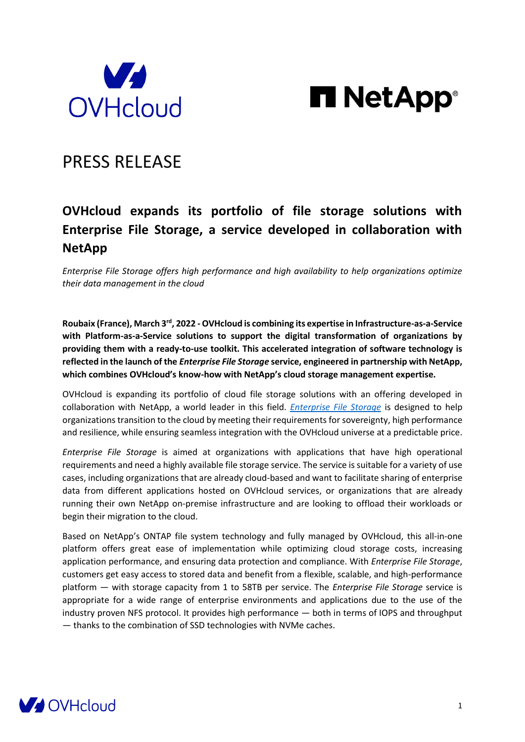



# PRESS RELEASE

## **OVHcloud expands its portfolio of file storage solutions with Enterprise File Storage, a service developed in collaboration with NetApp**

*Enterprise File Storage offers high performance and high availability to help organizations optimize their data management in the cloud*

Roubaix (France), March 3<sup>rd</sup>, 2022 - OVHcloud is combining its expertise in Infrastructure-as-a-Service **with Platform-as-a-Service solutions to support the digital transformation of organizations by providing them with a ready-to-use toolkit. This accelerated integration of software technology is reflected in the launch of the** *Enterprise File Storage* **service, engineered in partnership with NetApp, which combines OVHcloud's know-how with NetApp's cloud storage management expertise.** 

OVHcloud is expanding its portfolio of cloud file storage solutions with an offering developed in collaboration with NetApp, a world leader in this field. *[Enterprise File Storage](https://www.ovhcloud.com/en-ie/storage-solutions/enterprise-file-storage/)* is designed to help organizations transition to the cloud by meeting their requirements for sovereignty, high performance and resilience, while ensuring seamless integration with the OVHcloud universe at a predictable price.

*Enterprise File Storage* is aimed at organizations with applications that have high operational requirements and need a highly available file storage service. The service is suitable for a variety of use cases, including organizations that are already cloud-based and want to facilitate sharing of enterprise data from different applications hosted on OVHcloud services, or organizations that are already running their own NetApp on-premise infrastructure and are looking to offload their workloads or begin their migration to the cloud.

Based on NetApp's ONTAP file system technology and fully managed by OVHcloud, this all-in-one platform offers great ease of implementation while optimizing cloud storage costs, increasing application performance, and ensuring data protection and compliance. With *Enterprise File Storage*, customers get easy access to stored data and benefit from a flexible, scalable, and high-performance platform — with storage capacity from 1 to 58TB per service. The *Enterprise File Storage* service is appropriate for a wide range of enterprise environments and applications due to the use of the industry proven NFS protocol. It provides high performance — both in terms of IOPS and throughput — thanks to the combination of SSD technologies with NVMe caches.

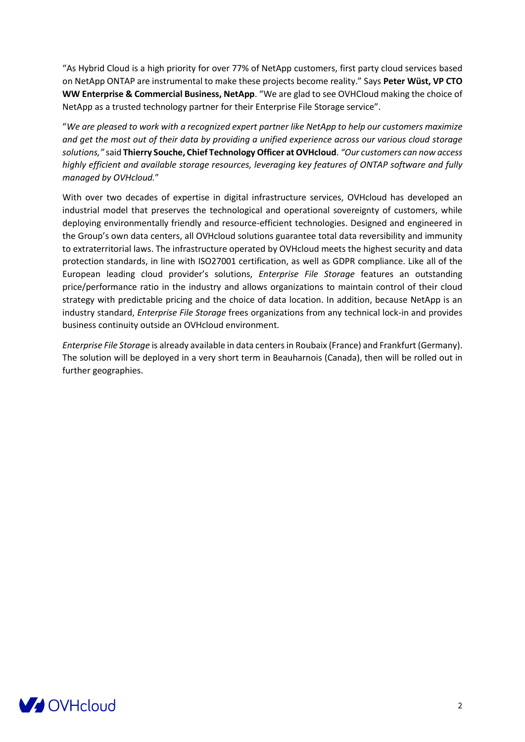"As Hybrid Cloud is a high priority for over 77% of NetApp customers, first party cloud services based on NetApp ONTAP are instrumental to make these projects become reality." Says **Peter Wüst, VP CTO WW Enterprise & Commercial Business, NetApp**. "We are glad to see OVHCloud making the choice of NetApp as a trusted technology partner for their Enterprise File Storage service".

"*We are pleased to work with a recognized expert partner like NetApp to help our customers maximize and get the most out of their data by providing a unified experience across our various cloud storage solutions,"* said **Thierry Souche, Chief Technology Officer at OVHcloud**. *"Our customers can now access highly efficient and available storage resources, leveraging key features of ONTAP software and fully managed by OVHcloud.*"

With over two decades of expertise in digital infrastructure services, OVHcloud has developed an industrial model that preserves the technological and operational sovereignty of customers, while deploying environmentally friendly and resource-efficient technologies. Designed and engineered in the Group's own data centers, all OVHcloud solutions guarantee total data reversibility and immunity to extraterritorial laws. The infrastructure operated by OVHcloud meets the highest security and data protection standards, in line with ISO27001 certification, as well as GDPR compliance. Like all of the European leading cloud provider's solutions, *Enterprise File Storage* features an outstanding price/performance ratio in the industry and allows organizations to maintain control of their cloud strategy with predictable pricing and the choice of data location. In addition, because NetApp is an industry standard, *Enterprise File Storage* frees organizations from any technical lock-in and provides business continuity outside an OVHcloud environment.

*Enterprise File Storage* is already available in data centers in Roubaix (France) and Frankfurt (Germany). The solution will be deployed in a very short term in Beauharnois (Canada), then will be rolled out in further geographies.